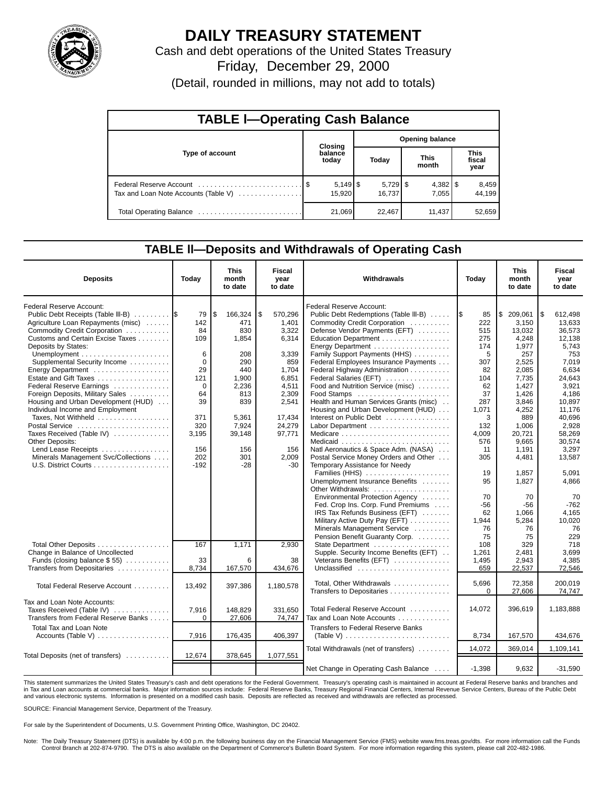

# **DAILY TREASURY STATEMENT**

Cash and debt operations of the United States Treasury

Friday, December 29, 2000

(Detail, rounded in millions, may not add to totals)

| <b>TABLE I-Operating Cash Balance</b> |                             |        |                        |                      |                      |        |                               |                 |  |  |
|---------------------------------------|-----------------------------|--------|------------------------|----------------------|----------------------|--------|-------------------------------|-----------------|--|--|
|                                       | Closing<br>balance<br>today |        | <b>Opening balance</b> |                      |                      |        |                               |                 |  |  |
| Type of account                       |                             |        | Today                  |                      | <b>This</b><br>month |        | <b>This</b><br>fiscal<br>year |                 |  |  |
| Tax and Loan Note Accounts (Table V)  |                             | 15,920 |                        | $5,729$ \$<br>16.737 |                      | 7.055  |                               | 8,459<br>44.199 |  |  |
|                                       |                             | 21,069 |                        | 22,467               |                      | 11,437 |                               | 52,659          |  |  |

#### **TABLE ll—Deposits and Withdrawals of Operating Cash**

| <b>Deposits</b>                                                                                                                                                                                                                                                                                                                                                                         | Today                                                                 | <b>This</b><br>month<br>to date                                                           | <b>Fiscal</b><br>year<br>to date                                                                      | Withdrawals                                                                                                                                                                                                                                                                                                                                                                                                         | Today                                                                             | <b>This</b><br>month<br>to date                                                                                 | Fiscal<br>year<br>to date                                                                                            |
|-----------------------------------------------------------------------------------------------------------------------------------------------------------------------------------------------------------------------------------------------------------------------------------------------------------------------------------------------------------------------------------------|-----------------------------------------------------------------------|-------------------------------------------------------------------------------------------|-------------------------------------------------------------------------------------------------------|---------------------------------------------------------------------------------------------------------------------------------------------------------------------------------------------------------------------------------------------------------------------------------------------------------------------------------------------------------------------------------------------------------------------|-----------------------------------------------------------------------------------|-----------------------------------------------------------------------------------------------------------------|----------------------------------------------------------------------------------------------------------------------|
| Federal Reserve Account:<br>Public Debt Receipts (Table III-B)  S<br>Agriculture Loan Repayments (misc)<br>Commodity Credit Corporation<br>Customs and Certain Excise Taxes<br>Deposits by States:<br>Supplemental Security Income<br>Energy Department<br>Estate and Gift Taxes<br>Federal Reserve Earnings<br>Foreign Deposits, Military Sales<br>Housing and Urban Development (HUD) | 79<br>142<br>84<br>109<br>6<br>$\Omega$<br>29<br>121<br>0<br>64<br>39 | \$<br>166,324<br>471<br>830<br>1,854<br>208<br>290<br>440<br>1,900<br>2,236<br>813<br>839 | \$<br>570,296<br>1,401<br>3.322<br>6,314<br>3,339<br>859<br>1,704<br>6,851<br>4,511<br>2,309<br>2,541 | Federal Reserve Account:<br>Public Debt Redemptions (Table III-B)<br>Commodity Credit Corporation<br>Defense Vendor Payments (EFT)<br>Education Department<br>Energy Department<br>Family Support Payments (HHS)<br>Federal Employees Insurance Payments<br>Federal Highway Administration<br>Federal Salaries (EFT)<br>Food and Nutrition Service (misc)<br>Food Stamps<br>Health and Human Services Grants (misc) | 1\$<br>85<br>222<br>515<br>275<br>174<br>5<br>307<br>82<br>104<br>62<br>37<br>287 | S.<br>209.061<br>3,150<br>13.032<br>4,248<br>1.977<br>257<br>2,525<br>2,085<br>7.735<br>1,427<br>1,426<br>3,846 | l\$<br>612.498<br>13,633<br>36.573<br>12,138<br>5.743<br>753<br>7.019<br>6,634<br>24.643<br>3,921<br>4,186<br>10,897 |
| Individual Income and Employment<br>Taxes, Not Withheld<br>Postal Service<br>Taxes Received (Table IV)<br><b>Other Deposits:</b><br>Lend Lease Receipts<br>Minerals Management Svc/Collections                                                                                                                                                                                          | 371<br>320<br>3,195<br>156<br>202<br>$-192$                           | 5,361<br>7,924<br>39,148<br>156<br>301<br>$-28$                                           | 17,434<br>24,279<br>97.771<br>156<br>2.009<br>$-30$                                                   | Housing and Urban Development (HUD)<br>Interest on Public Debt<br>Labor Department<br>Natl Aeronautics & Space Adm. (NASA)<br>Postal Service Money Orders and Other<br>Temporary Assistance for Needy<br>Families (HHS)<br>Unemployment Insurance Benefits                                                                                                                                                          | 1,071<br>3<br>132<br>4.009<br>576<br>11<br>305<br>19<br>95                        | 4,252<br>889<br>1,006<br>20.721<br>9,665<br>1.191<br>4,481<br>1,857<br>1,827                                    | 11.176<br>40,696<br>2,928<br>58.269<br>30,574<br>3.297<br>13.587<br>5,091<br>4.866                                   |
| Total Other Deposits                                                                                                                                                                                                                                                                                                                                                                    | 167                                                                   | 1,171                                                                                     | 2,930                                                                                                 | Other Withdrawals:<br>Environmental Protection Agency<br>Fed. Crop Ins. Corp. Fund Premiums<br>IRS Tax Refunds Business (EFT)<br>Military Active Duty Pay (EFT)<br>Minerals Management Service<br>Pension Benefit Guaranty Corp.                                                                                                                                                                                    | 70<br>-56<br>62<br>1,944<br>76<br>75<br>108                                       | 70<br>-56<br>1.066<br>5,284<br>76<br>75<br>329                                                                  | 70<br>$-762$<br>4,165<br>10,020<br>76<br>229<br>718                                                                  |
| Change in Balance of Uncollected<br>Funds (closing balance $$55$ )<br>Transfers from Depositaries                                                                                                                                                                                                                                                                                       | 33<br>8,734                                                           | 6<br>167,570                                                                              | 38<br>434,676                                                                                         | Supple. Security Income Benefits (EFT)<br>Veterans Benefits (EFT)<br>Unclassified                                                                                                                                                                                                                                                                                                                                   | 1,261<br>1,495<br>659                                                             | 2,481<br>2,943<br>22,537                                                                                        | 3,699<br>4,385<br>72,546                                                                                             |
| Total Federal Reserve Account                                                                                                                                                                                                                                                                                                                                                           | 13.492                                                                | 397,386                                                                                   | 1,180,578                                                                                             | Total, Other Withdrawals<br>Transfers to Depositaries                                                                                                                                                                                                                                                                                                                                                               | 5,696<br>$\Omega$                                                                 | 72,358<br>27,606                                                                                                | 200.019<br>74.747                                                                                                    |
| Tax and Loan Note Accounts:<br>Taxes Received (Table IV)<br>Transfers from Federal Reserve Banks                                                                                                                                                                                                                                                                                        | 7,916<br>$\Omega$                                                     | 148.829<br>27,606                                                                         | 331.650<br>74,747                                                                                     | Total Federal Reserve Account<br>Tax and Loan Note Accounts                                                                                                                                                                                                                                                                                                                                                         | 14,072                                                                            | 396,619                                                                                                         | 1,183,888                                                                                                            |
| <b>Total Tax and Loan Note</b><br>Accounts (Table V) $\dots \dots \dots \dots \dots$                                                                                                                                                                                                                                                                                                    | 7,916                                                                 | 176,435                                                                                   | 406,397                                                                                               | <b>Transfers to Federal Reserve Banks</b><br>(Table V) $\ldots \ldots \ldots \ldots \ldots \ldots \ldots \ldots$                                                                                                                                                                                                                                                                                                    | 8,734                                                                             | 167,570                                                                                                         | 434,676                                                                                                              |
| Total Deposits (net of transfers)                                                                                                                                                                                                                                                                                                                                                       | 12,674                                                                | 378,645                                                                                   | 1,077,551                                                                                             | Total Withdrawals (net of transfers)                                                                                                                                                                                                                                                                                                                                                                                | 14,072                                                                            | 369,014                                                                                                         | 1,109,141                                                                                                            |
|                                                                                                                                                                                                                                                                                                                                                                                         |                                                                       |                                                                                           |                                                                                                       | Net Change in Operating Cash Balance                                                                                                                                                                                                                                                                                                                                                                                | $-1.398$                                                                          | 9.632                                                                                                           | $-31.590$                                                                                                            |

This statement summarizes the United States Treasury's cash and debt operations for the Federal Government. Treasury's operating cash is maintained in account at Federal Reserve banks and branches and<br>in Tax and Loan accou and various electronic systems. Information is presented on a modified cash basis. Deposits are reflected as received and withdrawals are reflected as processed.

SOURCE: Financial Management Service, Department of the Treasury.

For sale by the Superintendent of Documents, U.S. Government Printing Office, Washington, DC 20402.

Note: The Daily Treasury Statement (DTS) is available by 4:00 p.m. the following business day on the Financial Management Service (FMS) website www.fms.treas.gov/dts. For more information call the Funds Control Branch at 202-874-9790. The DTS is also available on the Department of Commerce's Bulletin Board System. For more information regarding this system, please call 202-482-1986.